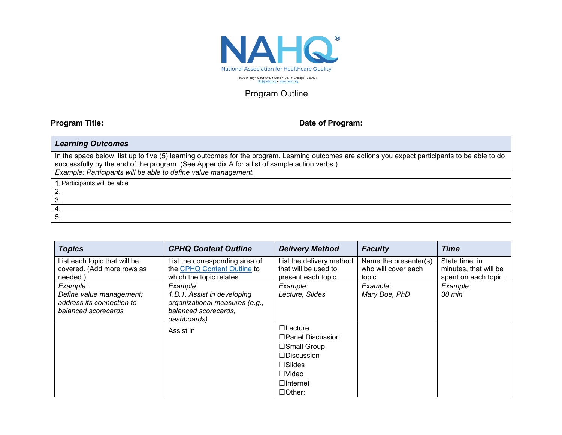

## Program Outline

Г

## **Program Title: Date of Program: Date of Program:**

| <b>Learning Outcomes</b>                                                                                                                                                                                                                         |
|--------------------------------------------------------------------------------------------------------------------------------------------------------------------------------------------------------------------------------------------------|
| In the space below, list up to five (5) learning outcomes for the program. Learning outcomes are actions you expect participants to be able to do<br>successfully by the end of the program. (See Appendix A for a list of sample action verbs.) |
| Example: Participants will be able to define value management.                                                                                                                                                                                   |
| 1. Participants will be able                                                                                                                                                                                                                     |
|                                                                                                                                                                                                                                                  |
|                                                                                                                                                                                                                                                  |
|                                                                                                                                                                                                                                                  |
|                                                                                                                                                                                                                                                  |

| <b>Topics</b>                | <b>CPHQ Content Outline</b>    | <b>Delivery Method</b>   | <b>Faculty</b>        | <b>Time</b>           |
|------------------------------|--------------------------------|--------------------------|-----------------------|-----------------------|
| List each topic that will be | List the corresponding area of | List the delivery method | Name the presenter(s) | State time, in        |
| covered. (Add more rows as   | the CPHQ Content Outline to    | that will be used to     | who will cover each   | minutes, that will be |
| needed.)                     | which the topic relates.       | present each topic.      | topic.                | spent on each topic.  |
| Example:                     | Example:                       | Example:                 | Example:              | Example:              |
| Define value management;     | 1.B.1. Assist in developing    | Lecture, Slides          | Mary Doe, PhD         | 30 min                |
| address its connection to    | organizational measures (e.g., |                          |                       |                       |
| balanced scorecards          | balanced scorecards,           |                          |                       |                       |
|                              | dashboards)                    |                          |                       |                       |
|                              | Assist in                      | $\Box$ Lecture           |                       |                       |
|                              |                                | $\Box$ Panel Discussion  |                       |                       |
|                              |                                | $\Box$ Small Group       |                       |                       |
|                              |                                | $\Box$ Discussion        |                       |                       |
|                              |                                | $\square$ Slides         |                       |                       |
|                              |                                | $\Box$ Video             |                       |                       |
|                              |                                | $\Box$ Internet          |                       |                       |
|                              |                                | $\Box$ Other:            |                       |                       |